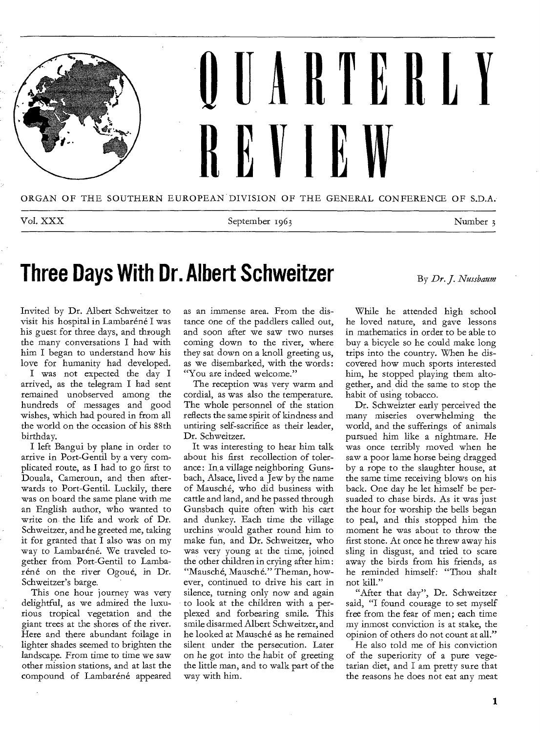

Vol. XXX September 1963 Number 3

#### **Three Days With Dr. Albert Schweitzer** By *Dr. J. Nussbaum*

Invited by Dr. Albert Schweitzer to visit his hospital in Lambaréné I was his guest for three days, and through the many conversations I had with him I began to understand how his love for humanity had developed.

I was not expected the day I arrived, as the telegram I had sent remained unobserved among the hundreds of messages and good wishes, which had poured in from all the world on the occasion of his 88th birthday.

I left Bangui by plane in order to arrive in Port-Gentil by a very complicated route, as I had to go first to Douala, Cameroun, and then afterwards to Port-Gentil. Luckily, there was on board the same plane with me an English author, who wanted to write on the life and work of Dr. Schweitzer, and he greeted me, taking it for granted that I also was on my way to Lambaréné. We traveled together from Port-Gentil to Lambaréné on the river Ogoué, in Dr. Schweitzer's barge.

This one hour journey was very delightful, as we admired the luxurious tropical vegetation and the giant trees at the shores of the river. Here and there abundant foilage in lighter shades seemed to brighten the landscape. From time to time we saw other mission stations, and at last the compound of Lambaréné appeared

as an immense area. From the distance one of the paddlers called out, and soon after we saw two nurses coming down to the river, where they sat down on a knoll greeting us, as we disembarked, with the words: "You are indeed welcome."

The reception was very warm and cordial, as was also the temperature. The whole personnel of the station reflects the same spirit of kindness and untiring self-sacrifice as their leader, Dr. Schweitzer.

It was interesting to hear him talk about his first recollection of tolerance: In a village neighboring Gunsbach, Alsace, lived a Jew by the name of Mausche, who did business with cattle and land, and he passed through Gunsbach quite often with his cart and dunkey. Each time the village urchins would gather round him to make fun, and Dr. Schweitzer, who was very young at the time, joined the other children in crying after him: "Mau sch e, Mausch*e."* The man, however, continued to drive his cart in silence, turning only now and again to look at the children with a perplexed and forbearing smile. This smile disarmed Albert Schweitzer, and he looked at Mausché as he remained silent under the persecution. Later on he got into the habit of greeting the little man, and to walk part of the way with him.

While he attended high school he loved nature, and gave lessons in mathematics in order to be able to buy a bicycle so he could make long trips into the country. When he discovered how much sports interested him, he stopped playing them altogether, and did the same to stop the habit of using tobacco.

Dr. Schweizter early perceived the many miseries overwhelming the world, and the sufferings of animals pursued him like a nightmare. He was once terribly moved when he saw a poor lame horse being dragged by a rope to the slaughter house, at the same time receiving blows on his back. One day he let himself be persuaded to chase birds. As it was just the hour for worship the bells began to peal, and this stopped him the moment he was about to throw the first stone. At once he threw away his sling in disgust, and tried to scare away the birds from his friends, as he reminded himself: "Thou shalt not kill."

"After that day", Dr. Schweitzer said, "I found courage to set myself free from the fear of men; each time my inmost conviction is at stake, the opinion of others do not count at all."

He also told me of his conviction of the superiority of a pure vegetarian diet, and I am pretty sure that the reasons he does not eat any meat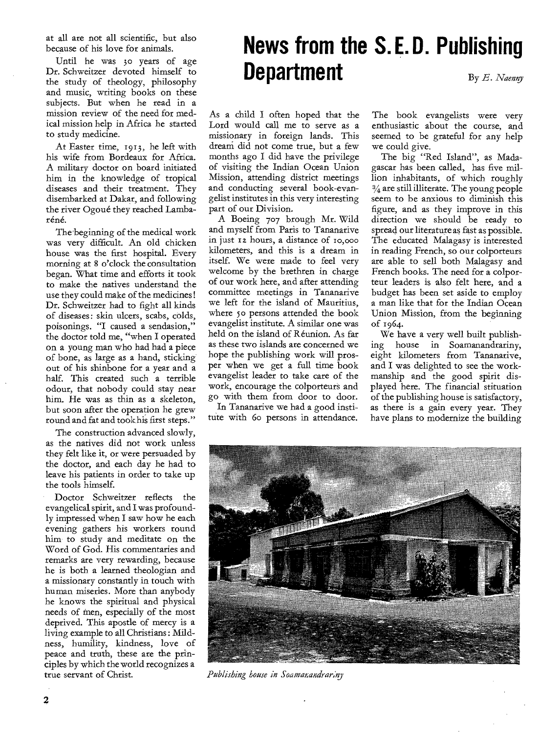at all are not all scientific, but also because of his love for animals.

Until he was 3o years of age Dr. Schweitzer devoted himself to the study of theology, philosophy and music, writing books on these subjects. But when he read in a mission review of the need for medical mission help in Africa he started to study medicine.

At Easter time, 1913, he left with his wife from Bordeaux for Africa. A military doctor on board initiated him in the knowledge of tropical diseases and their treatment. They disembarked at Dakar, and following the river Ogoué they reached Lambaréné.

The beginning of the medical work was very difficult. An old chicken house was the first hospital. Every morning at 8 o'clock the consultation began. What time and efforts it took to make the natives understand the use they could make of the medicines! Dr. Schweitzer had to fight all kinds of diseases: skin ulcers, scabs, colds, poisonings. "I caused a sendasion," the doctor told me, "when I operated on a young man who had had a piece of bone, as large as a hand, sticking out of his shinbone for a year and a half. This created such a terrible odour, that nobody could stay near him. He was as thin as a skeleton, but soon after the operation he grew round and fat and tookhis first steps."

The construction advanced slowly, as the natives did not work unless they felt like it, or were persuaded by the doctor, and each day he had to leave his patients in order to take up the tools himself.

Doctor Schweitzer reflects the evangelical spirit, and I was profoundly impressed when I saw how he each evening gathers his workers round him to study and meditate on the Word of God. His commentaries and remarks are very rewarding, because he is both a learned theologian and a missionary constantly in touch with human miseries. More than anybody he knows the spiritual and physical needs of men, especially of the most deprived. This apostle of mercy is a living example to all Christians : Mildness, humility, kindness, love of peace and truth, these are the principles by which the world recognizes a true servant of Christ.

#### **News from the S. E. D. Publishing Department** By *E. Naenny*

As a child I often hoped that the Lord would call me to serve as a missionary in foreign lands. This dream did not come true, but a few months ago I did have the privilege of visiting the Indian Ocean Union Mission, attending district meetings and conducting several book-evangelist institutes in this very interesting part of our Division.

A Boeing 707 brough Mr. Wild and myself from Paris to Tananarive in just rz hours, a distance of io,000 kilometers, and this is a dream in itself. We were made to feel very welcome by the brethren in charge of our work here, and after attending committee meetings in Tananarive we left for the island of Mauritius, where 5o persons attended the book evangelist institute. A similar one was held on the island of Reunion. As far as these two islands are concerned we hope the publishing work will prosper when we get a full time book evangelist leader to take care of the work, encourage the colporteurs and go with them from door to door.

In Tananarive we had a good institute with 6o persons in attendance. The book evangelists were very enthusiastic about the course, and seemed to be grateful for any help we could give.

The big "Red Island", as Madagascar has been called, has five million inhabitants, of which roughly  $\frac{3}{4}$  are still illiterate. The young people seem to be anxious to diminish this figure, and as they improve in this direction we should be ready to spread our literature as fast as possible. The educated Malagasy is interested in reading French, so our colporteurs are able to sell both Malagasy and French books. The need for a colporteur leaders is also felt here, and a budget has been set aside to employ a man like that for the Indian Ocean Union Mission, from the beginning of 1964.

We have a very well built publishing house in Soamanandrariny, eight kilometers from Tananarive, and I was delighted to see the workmanship and the good spirit displayed here. The financial stituation of the publishing house is satisfactory, as there is a gain every year. They have plans to modernize the building



*Publishing house in Soamanandrariny*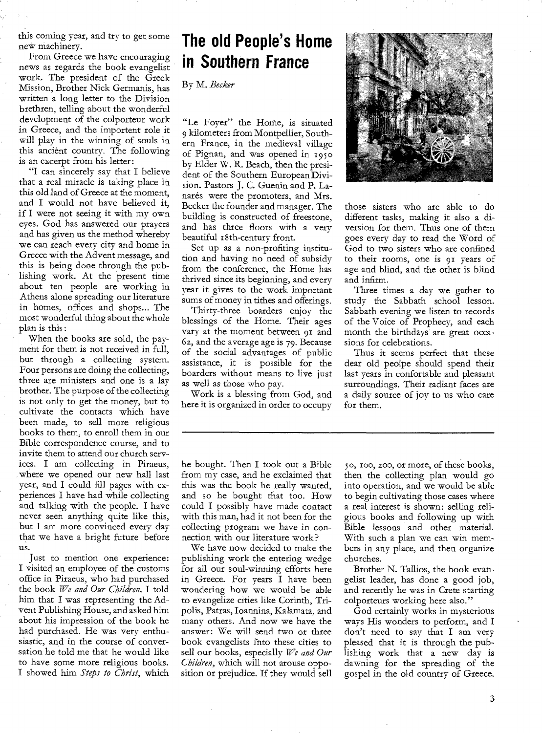this coming year, and try to get some new machinery.

From Greece we have encouraging news as regards the book evangelist work. The president of the Greek Mission, Brother Nick Germanis, has written a long letter to the Division brethren, telling about the wonderful development of the colporteur work in Greece, and the importent role it will play in the winning of souls in this ancient country. The following is an excerpt from his letter:

"I can sincerely say that I believe that a real miracle is taking place in this old land of Greece at the moment, and I would not have believed it, if I were not seeing it with my own eyes. God has answered our prayers and has given us the method whereby we can reach every city and home in Greece with the Advent message, and this is being done through the publishing work. At the present time about ten people are working in Athens alone spreading our literature in homes, offices and shops... The most wonderful thing about the whole plan is this :

When the books are sold, the payment for them is not received in full, but through a collecting system. Four persons are doing the collecting, three are ministers and one is a lay brother. The purpose of the collecting is not only to get the money, but to cultivate the contacts which have been made, to sell more religious books to them, to enroll them in our Bible correspondence course, and to invite them to attend our church services. I am collecting in Piraeus, where we opened our new hall last year, and I could fill pages with experiences I have had while collecting and talking with the people. I have never seen anything quite like this, but I am more convinced every day that we have a bright future before us.

Just to mention one experience: I visited an employee of the customs office in Piraeus, who had purchased the book *We and Our Children.* I told him that I was representing the Advent Publishing House, and asked him about his impression of the book he had purchased. He was very enthusiastic, and in the course of conversation he told me that he would like to have some more religious books. I showed him *Steps to Christ,* which

#### **The old People's Home in Southern France**

By M. *Becker* 

"Le Foyer" the Home, is situated 9 kilometers from Montpellier, Southern France, in the medieval village of Pignan, and was opened in 195o by Elder W. R. Beach, then the president of the Southern European Division. Pastors J. C. Guenin and P. Lanarés were the promoters, and Mrs. Becker the founder and manager. The building is constructed of freestone, and has three floors with a very beautiful i 8th-century front.

Set up as a non-profiting institution and having no need of subsidy from the conference, the Home has thrived since its beginning, and every year it gives to the work important sums of money in tithes and offerings.

Thirty-three boarders enjoy the blessings of the Home. Their ages vary at the moment between 91 and 6z, and the average age is 79. Because of the social advantages of public assistance, it is possible for the boarders without means to live just as well as those who pay.

Work is a blessing from God, and here it is organized in order to occupy

those sisters who are able to do different tasks, making it also a diversion for them. Thus one of them goes every day to read the Word of God to two sisters who are confined to their rooms, one is 91 years of age and blind, and the other is blind and infirm.

Three times a day we gather to study the Sabbath school lesson. Sabbath evening we listen to records of the Voice of Prophecy, and each month the birthdays' are great occasions for celebrations.

Thus it seems perfect that these dear old peolpe should spend their last years in confortable and pleasant surroundings. Their radiant faces are a daily source of joy to us who care for them.

he bought. Then I took out a Bible from my case, and he exclaimed that this was the book he really wanted, and so he bought that too. How could I possibly have made contact with this man, had it not been for the collecting program we have in connection with our literature work?

We have now decided to make the publishing work the entering wedge for all our soul-winning efforts here in Greece. For years I have been wondering how we would be able to evangelize cities like Corinth, Tripolis, Patras, Ioannina, Kalamata, and many others. And now we have the answer: We will send two or three book evangelists into these cities to sell our books, especially *We and Our Children,* which will not arouse opposition or prejudice. If they would sell

5o, ioo, zoo, or more, of these books, then the collecting plan would go into operation, and we would be able to begin cultivating those cases where a real interest is shown: selling religious books and following up with Bible lessons and other material. With such a plan we can win members in any place, and then organize churches.

Brother N. Tallios, the book evangelist leader, has done a good job, and recently he was in Crete starting colporteurs working here also."

God certainly works in mysterious ways His wonders to perform, and I don't need to say that I am very pleased that it is through the publishing work that a new day is dawning for the spreading of the gospel in the old country of Greece.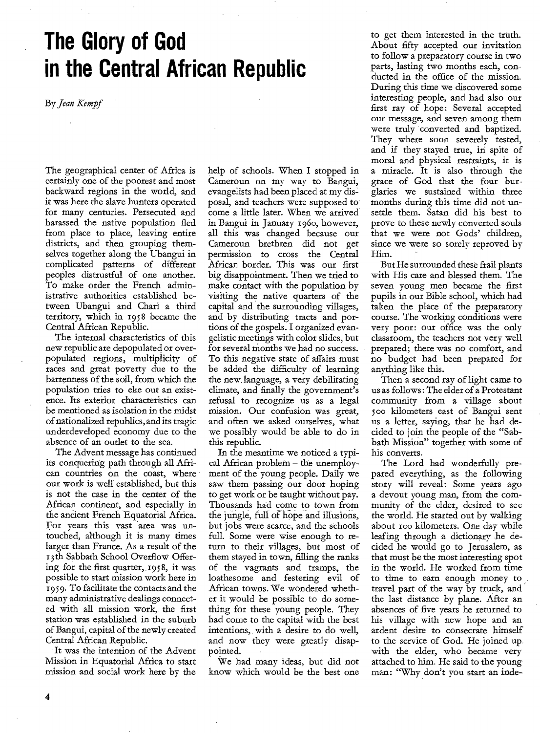## **The Glory of God in the Central African Republic**

By Jean Kempf

The geographical center of Africa is certainly one of the poorest and most backward regions in the world, and it was here the slave hunters operated for many centuries. Persecuted and harassed the native population fled from place to place, leaving entire districts, and then grouping themselves together along the Ubangui in complicated patterns of different peoples distrustful of one another. To make order the French administrative authorities established between Ubangui and Chari a third territory, which in 1958 became the Central African Republic.

The internal characteristics of this new republic are depopulated or overpopulated regions, multiplicity of races and great poverty due to the barrenness of the soil, from which the population tries to eke out an existence. Its exterior characteristics can be mentioned as isolation in the midst of nationalized republics, and its tragic underdeveloped economy due to the absence of an outlet to the sea.

The Advent message has continued its conquering path through all African countries on the coast, where our work is well established, but this is not the case in the center of the African continent, and especially in the ancient French Equatorial Africa. For years this vast area was untouched, although it is many times larger than France. As a result of the r3th Sabbath School Overflow Offering for the first quarter, 1958, it was possible to start mission work here in 1959. To facilitate the contacts and the many administrative dealings connected with all mission work, the first station was established in the suburb of Bangui, capital of the newly created Central African Republic.

It was the intention of the Advent Mission in Equatorial Africa to start mission and social work here by the help of schools. When I stopped in Cameroun on my way to Bangui, evangelists had been placed at my disposal, and teachers were supposed to come a little later. When we arrived in Bangui in January 196o, however, all this was changed because our Cameroun brethren did not get permission to cross the Central African border. This was our first big disappointment. Then we tried to make contact with the population by visiting the native quarters of the capital and the surrounding villages, and by distributing tracts and portions of the gospels. I organized evangelistic meetings with color slides, but for several months we had no success. To this negative state of affairs must be added the difficulty of learning the new, language, a very debilitating climate, and finally the government's refusal to recognize us as a legal mission. Our confusion was great, and often we asked ourselves, what we possibly would be able to do in this republic.

In the meantime we noticed a typical African problem — the unemployment of the young people. Daily we saw them passing our door hoping to get work or be taught without pay. Thousands had come to town from the jungle, full of hope and illusions, but jobs were scarce, and the schools full. Some were wise enough to return to their villages, but most of them stayed in town, filling the ranks of the vagrants and tramps, the loathesome and festering evil of African towns. We wondered whether it would be possible to do something for these young people. They had come to the capital with the best intentions, with a desire to do well, and now they were greatly disappointed.

We had many ideas, but did not know which would be the best one to get them interested in the truth. About fifty accepted our invitation to follow a preparatory course in two parts, lasting two months each, conducted in the office of the mission. During this time we discovered some interesting people, and had also our first ray of hope: Several accepted our message, and seven among them were truly converted and baptized. They where soon severely tested, and if they stayed true, in spite of moral and physical restraints, it is a miracle. It is also through the grace of God that the four burglaries we sustained within three months during this time did not unsettle them. Satan did his best to prove to these newly converted souls that we were not Gods' children, since we were so sorely reproved by Him.

But He surrounded these frail plants with His care and blessed them. The seven young men became the first pupils in our Bible school, which had taken the place of the preparatory course. The working conditions were very poor: our office was the only classroom, the teachers not very well prepared; there was no comfort, and no budget had been prepared for anything like this.

Then a second ray of light came to us as follows : The elder of a Protestant community from a village about 500 kilometers east of Bangui sent us a letter, saying, that he had decided to join the people of the "Sabbath Mission" together with some of his converts.

The Lord had wonderfully prepared everything, as the following story will reveal: Some years ago a devout young man, from the community of the elder, desired to see the world. He started out by walking about roo kilometers. One day while leafing through a dictionary he decided he would go to Jerusalem, as that must be the most interesting spot in the world. He worked from time to time to earn enough money to travel part of the way by truck, and the last distance by plane. After an absences of five years he returned to his village with new hope and an ardent desire to consecrate himself to the service of God. He joined up with the elder, who became very attached to him. He said to the young man: "Why don't you start an inde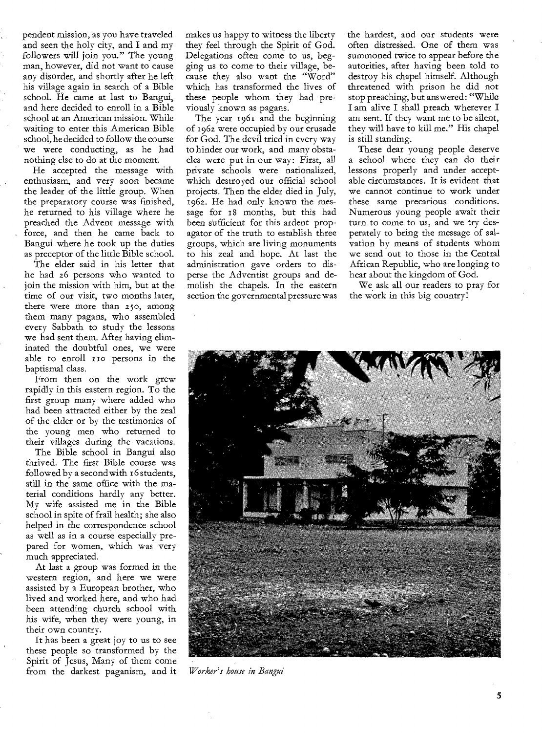pendent mission, as you have traveled and seen the holy city, and I and my followers will join you." The young man, however, did not want to cause any disorder, and shortly after he left his village again in search of a Bible school. He came at last to Bangui, and here decided to enroll in a Bible school at an American mission. While waiting to enter this American Bible school, he decided to follow the course we were conducting, as he had nothing else to do at the moment.

He accepted the message with enthusiasm, and very soon became the leader of the little group. When the preparatory course was finished, he returned to his village where he preached the Advent message with force, and then he came back to Bangui where he took up the duties as preceptor of the little Bible school.

The elder said in his letter that he had 26 persons who wanted to join the mission with him, but at the time of our visit, two months later, there were more than 25o, among them many pagans, who assembled every Sabbath to study the lessons we had sent them. After having eliminated the doubtful ones, we were able to enroll 110 persons in the baptismal class.

From then on the work grew rapidly in this eastern region. To the first group many where added who had been attracted either by the zeal of the elder or by the testimonies of the young men who returned to their villages during the vacations.

The Bible school in Bangui also thrived. The first Bible course was followed by a second with 16 students, still in the same office with the material conditions hardly any better. My wife assisted me in the Bible school in spite of frail health; she also helped in the correspondence school as well as in a course especially prepared for women, which was very much appreciated.

At last a group was formed in the western region, and here we were assisted by a European brother, who lived and worked here, and who had been attending church school with his wife, when they were young, in their own country.

It has been a great joy to us to see these people so transformed by the Spirit of Jesus, Many of them come from the darkest paganism, and it makes us happy to witness the liberty they feel through the Spirit of God. Delegations often come to us, begging us to come to their village, because they also want the "Word" which has transformed the lives of these people whom they had previously known as pagans.

The year 1961 and the beginning of 1962 were occupied by our crusade for God. The devil tried in every way to hinder our work, and many obstacles were put in our way: First, all private schools were nationalized, which destroyed our official school projects. Then the elder died in July, 1962. He had only known the message for 18 months, but this had been sufficient for this ardent propagator of the truth to establish three groups, which are living monuments to his zeal and hope. At last the administration gave orders to disperse the Adventist groups and demolish the chapels. In the eastern section the governmental pressure was the hardest, and our students were often distressed. One of them was summoned twice to appear before the autorities, after having been told to destroy his chapel himself. Although threatened with prison he did not stop preaching, but answered: "While I am alive I shall preach wherever I am sent. If they want me to be silent, they will have to kill me." His chapel is still standing.

These dear young people deserve a school where they can do their lessons properly and under acceptable circumstances. It is evident that we cannot continue to work under these same precarious conditions. Numerous young people await their turn to come to us, and we try desperately to bring the message of salvation by means of students whom we send out to those in the Central African Republic, who are longing to hear about the kingdom of God.

We ask all our readers to pray for the work in this big country!



*Worker's house in Bangui*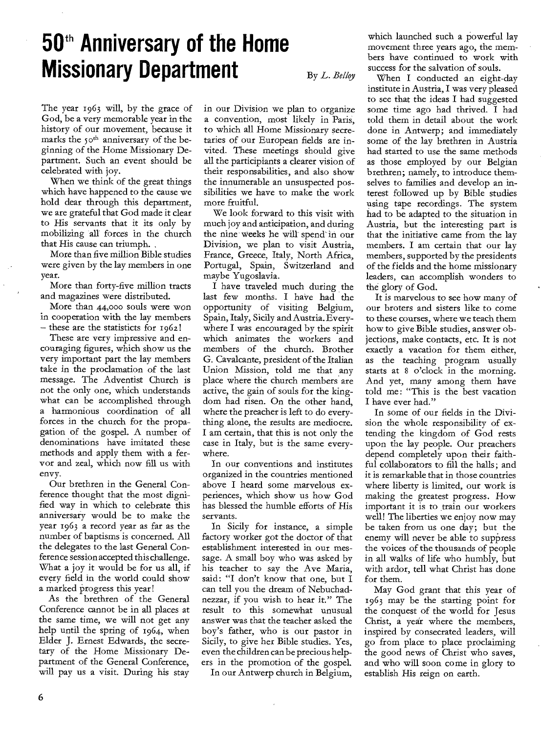# **50th Anniversary of the Home Missionary Department**

By L. Belloy

The year 1963 will, by the grace of God, be a very memorable year in the history of our movement, because it marks the 50<sup>th</sup> anniversary of the beginning of the Home Missionary Department. Such an event should be celebrated with joy.

When we think of the great things which have happened to the cause we hold dear through this department, we are grateful that God made it clear to His servants that it its only by mobilizing all forces in the church that His cause can triumph.

More than five million Bible studies were given by the lay members in one year.

More than forty-five million tracts and magazines were distributed.

More than 44,000 souls were won in cooperation with the lay members  $-$  these are the statisticts for  $1962!$ 

These are very impressive and encouraging figures, which show us the very important part the lay members take in the proclamation of the last message. The Adventist Church is not the only one, which understands what can be accomplished through a harmonious coordination of all forces in the church for the propagation of the gospel. A number of denominations have imitated these methods and apply them with a fervor and zeal, which now fill us with envy.

Our brethren in the General Conference thought that the most dignified way in which to celebrate this anniversary would be to make the year 1963 a record year as far as the number of baptisms is concerned. All the delegates to the last General Conference session accepted this challenge. What a joy it would be for us all, if every field in the world could show a marked progress this year!

As the brethren of the General Conference cannot be in all places at the same time, we will not get any help until the spring of 1964, when Elder J. Ernest Edwards, the secretary of the Home Missionary Department of the General Conference, will pay us a visit. During his stay

in our Division we plan to organize a convention, most likely in Paris, to which all Home Missionary secretaries of our European fields are invited. These meetings should give all the participiants a clearer vision of their responsabilities, and also show the innumerable an unsuspected possibilities we have to make the work more fruitful.

We look forward to this visit with much joy and anticipation, and during the nine weeks he will spend: in our Division, we plan to visit Austria, France, Greece, Italy, North Africa, Portugal, Spain, Switzerland and maybe Yugoslavia.

I have traveled much during the last few months. I have had the opportunity of visiting Belgium, Spain, Italy, Sicily and Austria. Everywhere I was encouraged by the spirit which animates the workers and members of the church. Brother G. Cavalcante, president of the Italian Union Mission, told me that any place where the church members are active, the gain of souls for the kingdom had risen. On the other hand, where the preacher is left to do everything alone, the results are mediocre. I am certain, that this is not only the case in Italy, but is the same everywhere.

In our conventions and institutes organized in the countries mentioned above I heard some marvelous experiences, which show us how God has blessed the humble efforts of His servants.

In Sicily for instance, a simple factory worker got the doctor of that establishment interested in our message. A small boy who was asked by his teacher to say the Ave Maria, said: "I don't know that one, but I can tell you the dream of Nebuchadnezzar, if you wish to hear it." The result to this somewhat unusual answer was that the teacher asked the boy's father, who is our pastor in Sicily, to give her Bible studies. Yes, even the children can be precious helpers in the promotion of the gospel.

In our Antwerp church in Belgium,

which launched such a powerful lay movement three years ago, the members have continued to work with success for the salvation of souls.

When I conducted an eight-day institute in Austria, I was very pleased to see that the ideas I had suggested some time ago had thrived. I had told them in detail about the work done in Antwerp; and immediately some of the lay brethren in Austria bad started to use the same methods as those employed by our Belgian brethren; namely, to introduce themselves to families and develop an interest followed up by Bible studies using tape recordings. The system had to be adapted to the situation in Austria, but the interesting part is that the initiative came from the lay members. I am certain that our lay members, supported by the presidents of the fields and the home missionary leaders, can accomplish wonders to the glory of God.

It is marvelous to see how many of our broters and sisters like to come to these courses, where we teach them how to give Bible studies, answer objections, make contacts, etc. It is not exactly a vacation for them either, as the teaching program usually starts at 8 o'clock in the morning. And yet, many among them have told me: "This is the best vacation I have ever had."

In some of our fields in the Division the whole responsibility of extending the kingdom of God rests upon the lay people. Our preachers depend completely upon their faithful collaborators to fill the halls; and it is remarkable that in those countries where liberty is limited, our work is making the greatest progress. How important it is to train our workers well! The liberties we enjoy now may be taken from us one day; but the enemy will never be able to suppress the voices of the thousands of people in all walks of life who humbly, but with ardor, tell what Christ has done for them.

May God grant that this year of 1963 may be the starting point for the conquest of the world for Jesus Christ, a year where the members, inspired by consecrated leaders, will go from place to place proclaiming the good news of Christ who saves, and who will soon come in glory to establish His reign on earth.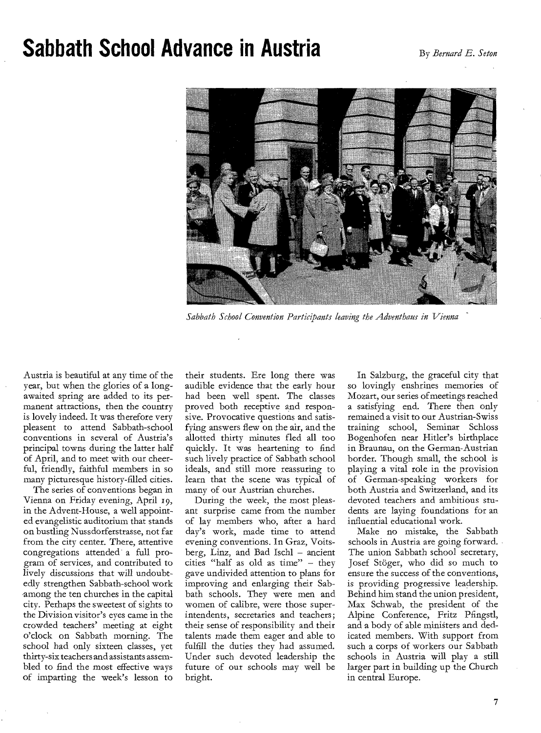#### **Sabbath School Advance in Austria By Bernard E. Seton**



*Sabbath School Convention Participants leaving the Adventhaus in Vienna* 

Austria is beautiful at any time of the year, but when the glories of a longawaited spring are added to its permanent attractions, then the country is lovely indeed. It was therefore very pleasent to attend Sabbath-school conventions in several of Austria's principal towns during the latter half of April, and to meet with our cheerful, friendly, faithful members in so many picturesque history-filled cities.

The series of conventions began in Vienna on Friday evening, April 19, in the Advent-House, a well appointed evangelistic auditorium that stands on bustling Nussdorferstrasse, not far from the city center. There, attentive congregations attended a full program of services, and contributed to lively discussions that will undoubtedly strengthen Sabbath-school work among the ten churches in the capital city. Perhaps the sweetest of sights to the Division visitor's eyes came in the crowded teachers' meeting at eight o'clock on Sabbath morning. The school had only sixteen classes, yet thirty-six teachers and assistants assembled to find the most effective ways of imparting the week's lesson to

their students. Ere long there was audible evidence that the early hour had been well spent. The classes proved both receptive and responsive. Provocative questions and satisfying answers flew on the air, and the allotted thirty minutes fled all too quickly. It was heartening to find such lively practice of Sabbath school ideals, and still more reassuring to learn that the scene was typical of many of our Austrian churches.

During the week, the most pleasant surprise came from the number of lay members who, after a hard day's work, made time to attend evening conventions. In Graz, Voitsberg, Linz, and Bad Ischl — ancient cities "half as old as time" — they gave undivided attention to plans for improving and enlarging their Sabbath schools. They were men and women of calibre, were those superintendents, secretaries and teachers; their sense of responsibility and their talents made them eager and able to fulfill the duties they had assumed. Under such devoted leadership the future of our schools may well be bright.

In Salzburg, the graceful city that so lovingly enshrines memories of Mozart, our series of meetings reached a satisfying end. There then only remained a visit to our Austrian-Swiss training school, Seminar Schloss Bogenhofen near Hitler's birthplace in Braunau, on the German-Austrian border. Though small, the school is playing a vital role in the provision of German-speaking workers for both Austria and Switzerland, and its devoted teachers and ambitious students are laying foundations for an influential educational work.

Make no mistake, the Sabbath schools in Austria are going forward. The union Sabbath school secretary, Josef Stöger, who did so much to ensure the success *of* the conventions, is providing progressive leadership. Behind him stand the union president, Max Schwab, the president of the Alpine Conference, Fritz Pfingstl, and a body of able ministers and dedicated members. With support from such a corps of workers our Sabbath schools in Austria will play a still larger part in building up the Church in central Europe.